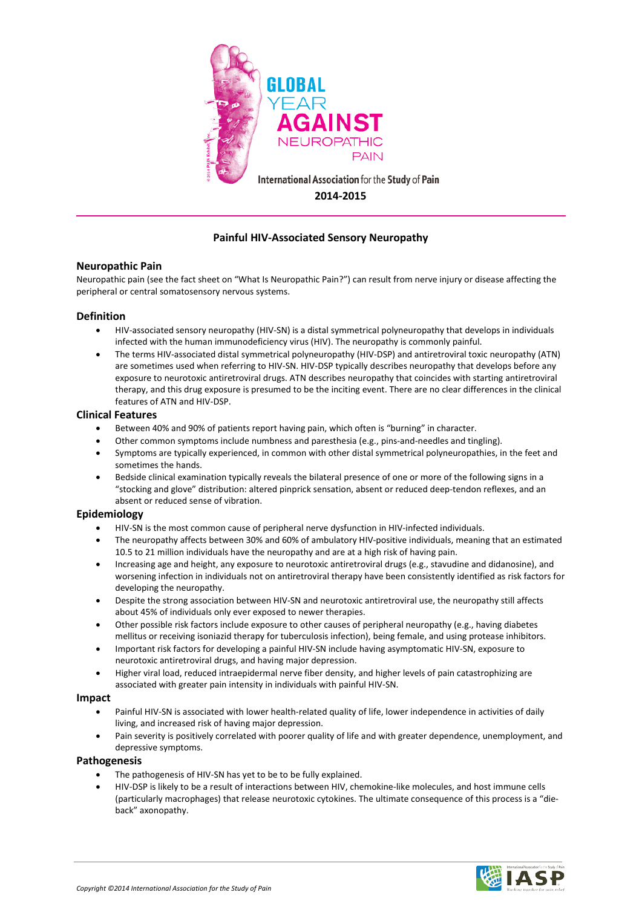

# **Painful HIV-Associated Sensory Neuropathy**

## **Neuropathic Pain**

Neuropathic pain (see the fact sheet on "What Is Neuropathic Pain?") can result from nerve injury or disease affecting the peripheral or central somatosensory nervous systems.

## **Definition**

- HIV-associated sensory neuropathy (HIV-SN) is a distal symmetrical polyneuropathy that develops in individuals infected with the human immunodeficiency virus (HIV). The neuropathy is commonly painful.
- The terms HIV-associated distal symmetrical polyneuropathy (HIV-DSP) and antiretroviral toxic neuropathy (ATN) are sometimes used when referring to HIV-SN. HIV-DSP typically describes neuropathy that develops before any exposure to neurotoxic antiretroviral drugs. ATN describes neuropathy that coincides with starting antiretroviral therapy, and this drug exposure is presumed to be the inciting event. There are no clear differences in the clinical features of ATN and HIV-DSP.

#### **Clinical Features**

- Between 40% and 90% of patients report having pain, which often is "burning" in character.
- Other common symptoms include numbness and paresthesia (e.g., pins-and-needles and tingling).
- Symptoms are typically experienced, in common with other distal symmetrical polyneuropathies, in the feet and sometimes the hands.
- Bedside clinical examination typically reveals the bilateral presence of one or more of the following signs in a "stocking and glove" distribution: altered pinprick sensation, absent or reduced deep-tendon reflexes, and an absent or reduced sense of vibration.

## **Epidemiology**

- HIV-SN is the most common cause of peripheral nerve dysfunction in HIV-infected individuals.
- The neuropathy affects between 30% and 60% of ambulatory HIV-positive individuals, meaning that an estimated 10.5 to 21 million individuals have the neuropathy and are at a high risk of having pain.
- Increasing age and height, any exposure to neurotoxic antiretroviral drugs (e.g., stavudine and didanosine), and worsening infection in individuals not on antiretroviral therapy have been consistently identified as risk factors for developing the neuropathy.
- Despite the strong association between HIV-SN and neurotoxic antiretroviral use, the neuropathy still affects about 45% of individuals only ever exposed to newer therapies.
- Other possible risk factors include exposure to other causes of peripheral neuropathy (e.g., having diabetes mellitus or receiving isoniazid therapy for tuberculosis infection), being female, and using protease inhibitors.
- Important risk factors for developing a painful HIV-SN include having asymptomatic HIV-SN, exposure to neurotoxic antiretroviral drugs, and having major depression.
- Higher viral load, reduced intraepidermal nerve fiber density, and higher levels of pain catastrophizing are associated with greater pain intensity in individuals with painful HIV-SN.

#### **Impact**

- Painful HIV-SN is associated with lower health-related quality of life, lower independence in activities of daily living, and increased risk of having major depression.
- Pain severity is positively correlated with poorer quality of life and with greater dependence, unemployment, and depressive symptoms.

## **Pathogenesis**

- The pathogenesis of HIV-SN has yet to be to be fully explained.
- HIV-DSP is likely to be a result of interactions between HIV, chemokine-like molecules, and host immune cells (particularly macrophages) that release neurotoxic cytokines. The ultimate consequence of this process is a "dieback" axonopathy.